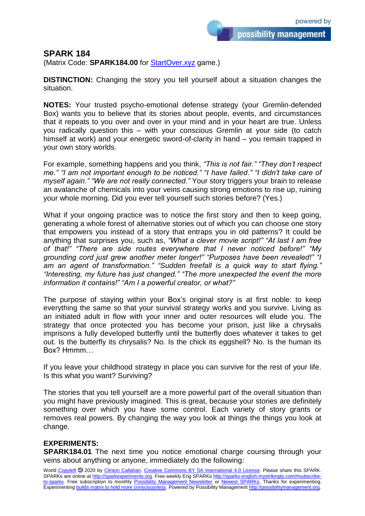possibility management

## **SPARK 184**

(Matrix Code: **SPARK184.00** for **StartOver.xyz** game.)

**DISTINCTION:** Changing the story you tell yourself about a situation changes the situation.

**NOTES:** Your trusted psycho-emotional defense strategy (your Gremlin-defended Box) wants you to believe that its stories about people, events, and circumstances that it repeats to you over and over in your mind and in your heart are true. Unless you radically question this – with your conscious Gremlin at your side (to catch himself at work) and your energetic sword-of-clarity in hand – you remain trapped in your own story worlds.

For example, something happens and you think, *"This is not fair." "They don't respect me." "I am not important enough to be noticed." "I have failed." "I didn't take care of myself again." "We are not really connected."* Your story triggers your brain to release an avalanche of chemicals into your veins causing strong emotions to rise up, ruining your whole morning. Did you ever tell yourself such stories before? (Yes.)

What if your ongoing practice was to notice the first story and then to keep going, generating a whole forest of alternative stories out of which you can choose one story that empowers you instead of a story that entraps you in old patterns? It could be anything that surprises you, such as, *"What a clever movie script!" "At last I am free of that!" "There are side routes everywhere that I never noticed before!" "My grounding cord just grew another meter longer!" "Purposes have been revealed!" "I am an agent of transformation." "Sudden freefall is a quick way to start flying." "Interesting, my future has just changed." "The more unexpected the event the more information it contains!" "Am I a powerful creator, or what?"*

The purpose of staying within your Box's original story is at first noble: to keep everything the same so that your survival strategy works and you survive. Living as an initiated adult in flow with your inner and outer resources will elude you. The strategy that once protected you has become your prison, just like a chrysalis imprisons a fully developed butterfly until the butterfly does whatever it takes to get out. Is the butterfly its chrysalis? No. Is the chick its eggshell? No. Is the human its Box? Hmmm…

If you leave your childhood strategy in place you can survive for the rest of your life. Is this what you want? Surviving?

The stories that you tell yourself are a more powerful part of the overall situation than you might have previously imagined. This is great, because your stories are definitely something over which you have some control. Each variety of story grants or removes real powers. By changing the way you look at things the things you look at change.

## **EXPERIMENTS:**

**SPARK184.01** The next time you notice emotional charge coursing through your veins about anything or anyone, immediately do the following: